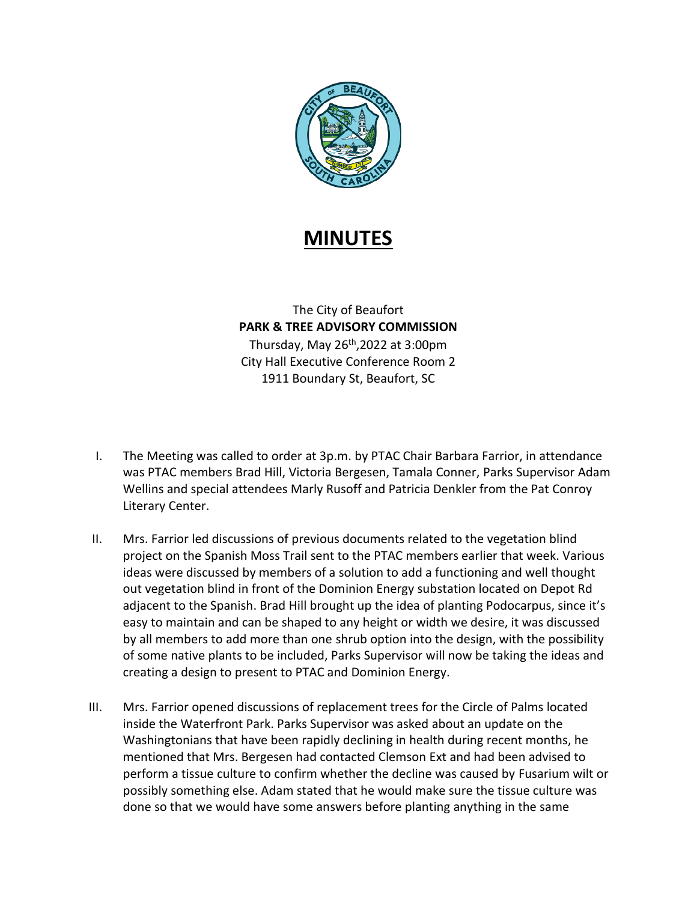

## **MINUTES**

The City of Beaufort **PARK & TREE ADVISORY COMMISSION** Thursday, May  $26<sup>th</sup>$ , 2022 at 3:00pm City Hall Executive Conference Room 2 1911 Boundary St, Beaufort, SC

- I. The Meeting was called to order at 3p.m. by PTAC Chair Barbara Farrior, in attendance was PTAC members Brad Hill, Victoria Bergesen, Tamala Conner, Parks Supervisor Adam Wellins and special attendees Marly Rusoff and Patricia Denkler from the Pat Conroy Literary Center.
- II. Mrs. Farrior led discussions of previous documents related to the vegetation blind project on the Spanish Moss Trail sent to the PTAC members earlier that week. Various ideas were discussed by members of a solution to add a functioning and well thought out vegetation blind in front of the Dominion Energy substation located on Depot Rd adjacent to the Spanish. Brad Hill brought up the idea of planting Podocarpus, since it's easy to maintain and can be shaped to any height or width we desire, it was discussed by all members to add more than one shrub option into the design, with the possibility of some native plants to be included, Parks Supervisor will now be taking the ideas and creating a design to present to PTAC and Dominion Energy.
- III. Mrs. Farrior opened discussions of replacement trees for the Circle of Palms located inside the Waterfront Park. Parks Supervisor was asked about an update on the Washingtonians that have been rapidly declining in health during recent months, he mentioned that Mrs. Bergesen had contacted Clemson Ext and had been advised to perform a tissue culture to confirm whether the decline was caused by Fusarium wilt or possibly something else. Adam stated that he would make sure the tissue culture was done so that we would have some answers before planting anything in the same